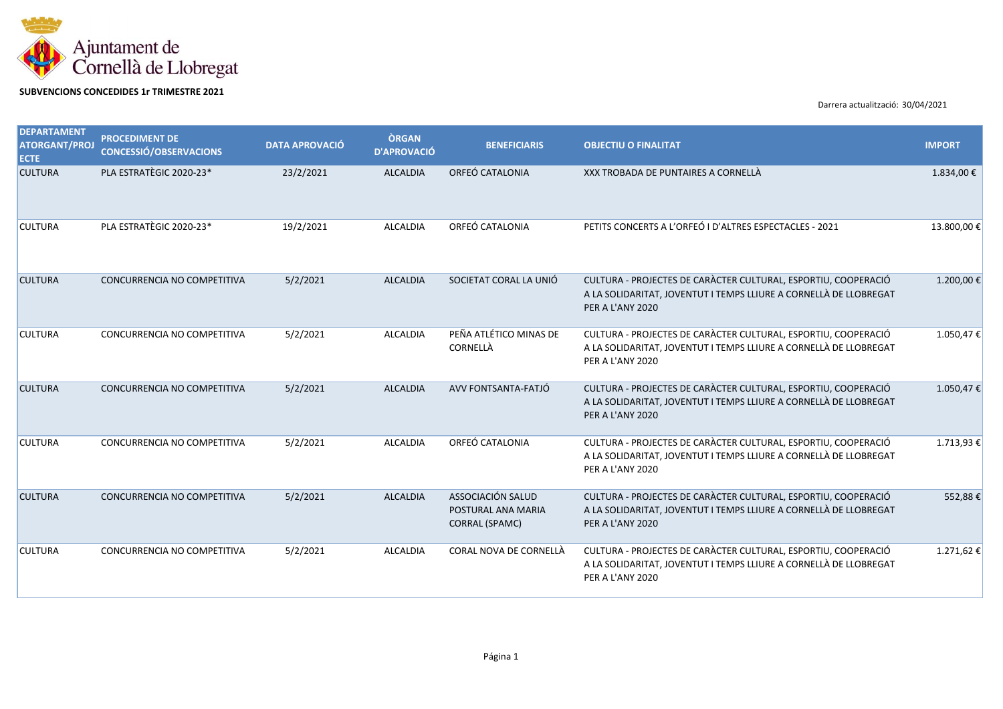

**SUBVENCIONS CONCEDIDES 1r TRIMESTRE 2021**

Darrera actualització: 30/04/2021

| <b>DEPARTAMENT</b><br><b>ATORGANT/PROJ</b><br><b>ECTE</b> | <b>PROCEDIMENT DE</b><br><b>CONCESSIÓ/OBSERVACIONS</b> | <b>DATA APROVACIÓ</b> | <b>ÒRGAN</b><br><b>D'APROVACIÓ</b> | <b>BENEFICIARIS</b>                                              | <b>OBJECTIU O FINALITAT</b>                                                                                                                             | <b>IMPORT</b> |
|-----------------------------------------------------------|--------------------------------------------------------|-----------------------|------------------------------------|------------------------------------------------------------------|---------------------------------------------------------------------------------------------------------------------------------------------------------|---------------|
| <b>CULTURA</b>                                            | PLA ESTRATÈGIC 2020-23*                                | 23/2/2021             | <b>ALCALDIA</b>                    | ORFEÓ CATALONIA                                                  | XXX TROBADA DE PUNTAIRES A CORNELLÀ                                                                                                                     | 1.834,00 €    |
| <b>CULTURA</b>                                            | PLA ESTRATÈGIC 2020-23*                                | 19/2/2021             | ALCALDIA                           | ORFEÓ CATALONIA                                                  | PETITS CONCERTS A L'ORFEÓ I D'ALTRES ESPECTACLES - 2021                                                                                                 | 13.800,00€    |
| <b>CULTURA</b>                                            | CONCURRENCIA NO COMPETITIVA                            | 5/2/2021              | <b>ALCALDIA</b>                    | SOCIETAT CORAL LA UNIÓ                                           | CULTURA - PROJECTES DE CARÀCTER CULTURAL, ESPORTIU, COOPERACIÓ<br>A LA SOLIDARITAT, JOVENTUT I TEMPS LLIURE A CORNELLÀ DE LLOBREGAT<br>PER A L'ANY 2020 | 1.200,00€     |
| <b>CULTURA</b>                                            | CONCURRENCIA NO COMPETITIVA                            | 5/2/2021              | ALCALDIA                           | PEÑA ATLÉTICO MINAS DE<br>CORNELLÀ                               | CULTURA - PROJECTES DE CARÀCTER CULTURAL, ESPORTIU, COOPERACIÓ<br>A LA SOLIDARITAT, JOVENTUT I TEMPS LLIURE A CORNELLÀ DE LLOBREGAT<br>PER A L'ANY 2020 | 1.050,47€     |
| <b>CULTURA</b>                                            | CONCURRENCIA NO COMPETITIVA                            | 5/2/2021              | <b>ALCALDIA</b>                    | AVV FONTSANTA-FATJÓ                                              | CULTURA - PROJECTES DE CARÀCTER CULTURAL, ESPORTIU, COOPERACIÓ<br>A LA SOLIDARITAT, JOVENTUT I TEMPS LLIURE A CORNELLÀ DE LLOBREGAT<br>PER A L'ANY 2020 | 1.050,47€     |
| <b>CULTURA</b>                                            | CONCURRENCIA NO COMPETITIVA                            | 5/2/2021              | ALCALDIA                           | ORFEÓ CATALONIA                                                  | CULTURA - PROJECTES DE CARÀCTER CULTURAL, ESPORTIU, COOPERACIÓ<br>A LA SOLIDARITAT, JOVENTUT I TEMPS LLIURE A CORNELLÀ DE LLOBREGAT<br>PER A L'ANY 2020 | 1.713,93€     |
| <b>CULTURA</b>                                            | CONCURRENCIA NO COMPETITIVA                            | 5/2/2021              | ALCALDIA                           | ASSOCIACIÓN SALUD<br>POSTURAL ANA MARIA<br><b>CORRAL (SPAMC)</b> | CULTURA - PROJECTES DE CARÀCTER CULTURAL, ESPORTIU, COOPERACIÓ<br>A LA SOLIDARITAT, JOVENTUT I TEMPS LLIURE A CORNELLÀ DE LLOBREGAT<br>PER A L'ANY 2020 | 552,88€       |
| <b>CULTURA</b>                                            | CONCURRENCIA NO COMPETITIVA                            | 5/2/2021              | ALCALDIA                           | CORAL NOVA DE CORNELLÀ                                           | CULTURA - PROJECTES DE CARÀCTER CULTURAL, ESPORTIU, COOPERACIÓ<br>A LA SOLIDARITAT, JOVENTUT I TEMPS LLIURE A CORNELLÀ DE LLOBREGAT<br>PER A L'ANY 2020 | 1.271,62€     |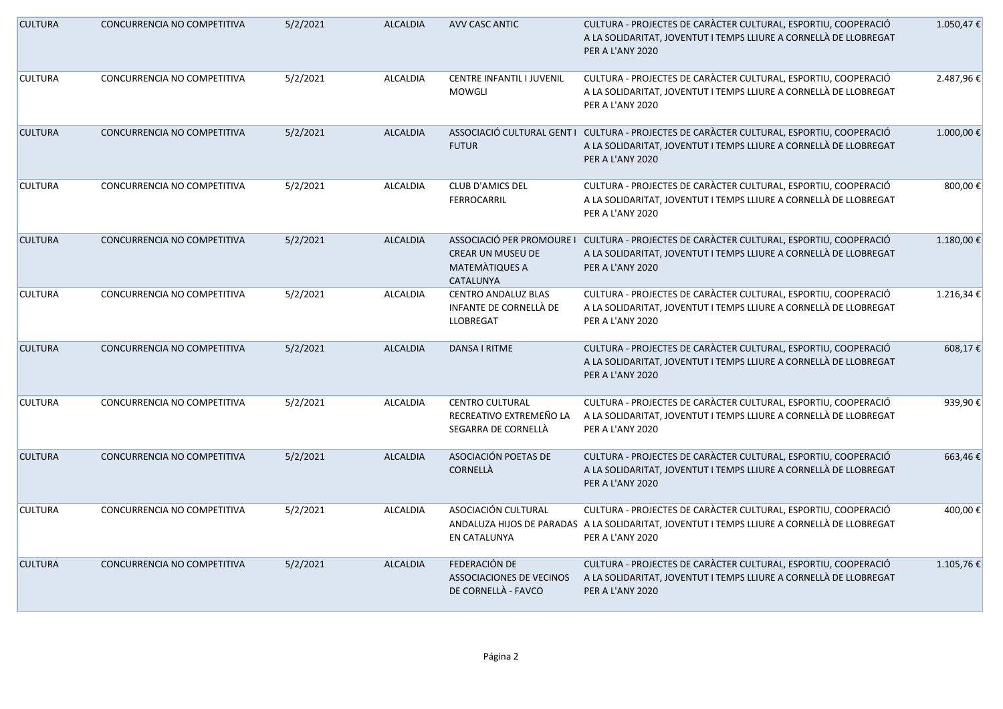| <b>CULTURA</b> | CONCURRENCIA NO COMPETITIVA | 5/2/2021 | <b>ALCALDIA</b> | AVV CASC ANTIC                                                           | CULTURA - PROJECTES DE CARÀCTER CULTURAL, ESPORTIU, COOPERACIÓ<br>A LA SOLIDARITAT, JOVENTUT I TEMPS LLIURE A CORNELLÀ DE LLOBREGAT<br>PER A L'ANY 2020                            | 1.050,47€ |
|----------------|-----------------------------|----------|-----------------|--------------------------------------------------------------------------|------------------------------------------------------------------------------------------------------------------------------------------------------------------------------------|-----------|
| <b>CULTURA</b> | CONCURRENCIA NO COMPETITIVA | 5/2/2021 | <b>ALCALDIA</b> | CENTRE INFANTIL I JUVENIL<br><b>MOWGLI</b>                               | CULTURA - PROJECTES DE CARÀCTER CULTURAL, ESPORTIU, COOPERACIÓ<br>A LA SOLIDARITAT, JOVENTUT I TEMPS LLIURE A CORNELLÀ DE LLOBREGAT<br>PER A L'ANY 2020                            | 2.487,96€ |
| <b>CULTURA</b> | CONCURRENCIA NO COMPETITIVA | 5/2/2021 | <b>ALCALDIA</b> | <b>FUTUR</b>                                                             | ASSOCIACIÓ CULTURAL GENT I CULTURA - PROJECTES DE CARÀCTER CULTURAL, ESPORTIU, COOPERACIÓ<br>A LA SOLIDARITAT, JOVENTUT I TEMPS LLIURE A CORNELLÀ DE LLOBREGAT<br>PER A L'ANY 2020 | 1.000,00€ |
| <b>CULTURA</b> | CONCURRENCIA NO COMPETITIVA | 5/2/2021 | ALCALDIA        | <b>CLUB D'AMICS DEL</b><br>FERROCARRIL                                   | CULTURA - PROJECTES DE CARÀCTER CULTURAL, ESPORTIU, COOPERACIÓ<br>A LA SOLIDARITAT, JOVENTUT I TEMPS LLIURE A CORNELLÀ DE LLOBREGAT<br>PER A L'ANY 2020                            | 800,00€   |
| <b>CULTURA</b> | CONCURRENCIA NO COMPETITIVA | 5/2/2021 | <b>ALCALDIA</b> | <b>CREAR UN MUSEU DE</b><br><b>MATEMÀTIQUES A</b><br>CATALUNYA           | ASSOCIACIÓ PER PROMOURE I CULTURA - PROJECTES DE CARÀCTER CULTURAL, ESPORTIU, COOPERACIÓ<br>A LA SOLIDARITAT, JOVENTUT I TEMPS LLIURE A CORNELLÀ DE LLOBREGAT<br>PER A L'ANY 2020  | 1.180,00€ |
| <b>CULTURA</b> | CONCURRENCIA NO COMPETITIVA | 5/2/2021 | <b>ALCALDIA</b> | <b>CENTRO ANDALUZ BLAS</b><br>INFANTE DE CORNELLÀ DE<br>LLOBREGAT        | CULTURA - PROJECTES DE CARÀCTER CULTURAL, ESPORTIU, COOPERACIÓ<br>A LA SOLIDARITAT, JOVENTUT I TEMPS LLIURE A CORNELLÀ DE LLOBREGAT<br>PER A L'ANY 2020                            | 1.216,34€ |
| <b>CULTURA</b> | CONCURRENCIA NO COMPETITIVA | 5/2/2021 | <b>ALCALDIA</b> | DANSA I RITME                                                            | CULTURA - PROJECTES DE CARÀCTER CULTURAL, ESPORTIU, COOPERACIÓ<br>A LA SOLIDARITAT, JOVENTUT I TEMPS LLIURE A CORNELLÀ DE LLOBREGAT<br>PER A L'ANY 2020                            | 608,17€   |
| <b>CULTURA</b> | CONCURRENCIA NO COMPETITIVA | 5/2/2021 | <b>ALCALDIA</b> | <b>CENTRO CULTURAL</b><br>RECREATIVO EXTREMEÑO LA<br>SEGARRA DE CORNELLÀ | CULTURA - PROJECTES DE CARÀCTER CULTURAL, ESPORTIU, COOPERACIÓ<br>A LA SOLIDARITAT, JOVENTUT I TEMPS LLIURE A CORNELLÀ DE LLOBREGAT<br>PER A L'ANY 2020                            | 939,90€   |
| <b>CULTURA</b> | CONCURRENCIA NO COMPETITIVA | 5/2/2021 | <b>ALCALDIA</b> | ASOCIACIÓN POETAS DE<br>CORNELLÀ                                         | CULTURA - PROJECTES DE CARÀCTER CULTURAL, ESPORTIU, COOPERACIÓ<br>A LA SOLIDARITAT, JOVENTUT I TEMPS LLIURE A CORNELLÀ DE LLOBREGAT<br>PER A L'ANY 2020                            | 663,46€   |
| <b>CULTURA</b> | CONCURRENCIA NO COMPETITIVA | 5/2/2021 | <b>ALCALDIA</b> | ASOCIACIÓN CULTURAL<br>EN CATALUNYA                                      | CULTURA - PROJECTES DE CARÀCTER CULTURAL, ESPORTIU, COOPERACIÓ<br>ANDALUZA HIJOS DE PARADAS A LA SOLIDARITAT, JOVENTUT I TEMPS LLIURE A CORNELLÀ DE LLOBREGAT<br>PER A L'ANY 2020  | 400,00€   |
| <b>CULTURA</b> | CONCURRENCIA NO COMPETITIVA | 5/2/2021 | <b>ALCALDIA</b> | FEDERACIÓN DE<br>ASSOCIACIONES DE VECINOS<br>DE CORNELLÀ - FAVCO         | CULTURA - PROJECTES DE CARÀCTER CULTURAL, ESPORTIU, COOPERACIÓ<br>A LA SOLIDARITAT, JOVENTUT I TEMPS LLIURE A CORNELLÀ DE LLOBREGAT<br>PER A L'ANY 2020                            | 1.105,76€ |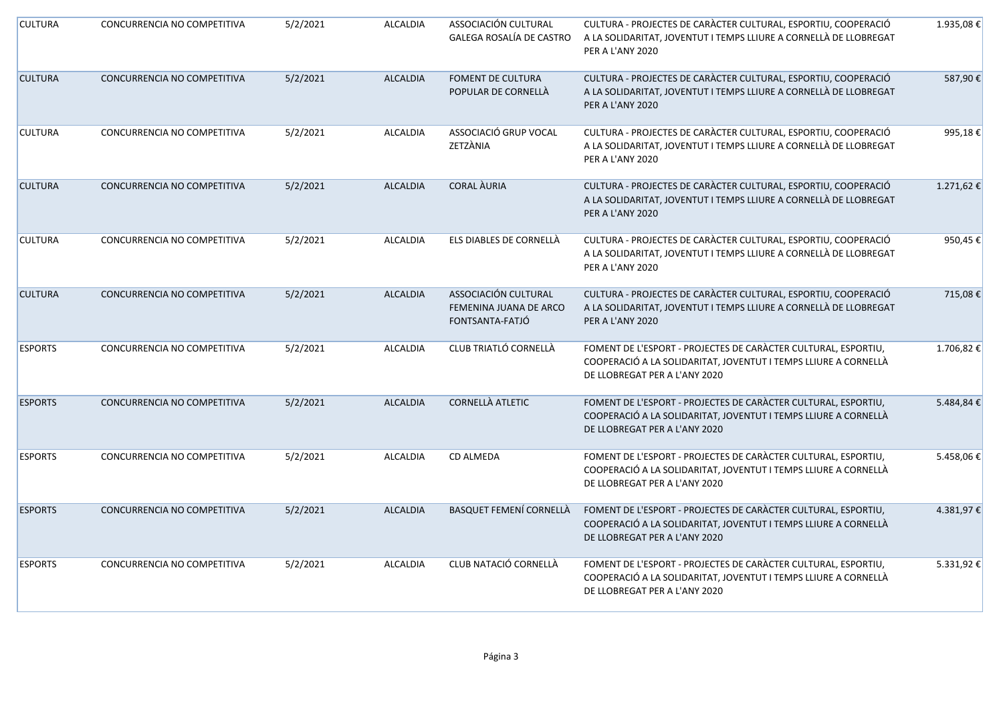| <b>CULTURA</b> | CONCURRENCIA NO COMPETITIVA | 5/2/2021 | ALCALDIA        | ASSOCIACIÓN CULTURAL<br>GALEGA ROSALÍA DE CASTRO                  | CULTURA - PROJECTES DE CARÀCTER CULTURAL, ESPORTIU, COOPERACIÓ<br>A LA SOLIDARITAT, JOVENTUT I TEMPS LLIURE A CORNELLÀ DE LLOBREGAT<br><b>PER A L'ANY 2020</b>     | 1.935,08€ |
|----------------|-----------------------------|----------|-----------------|-------------------------------------------------------------------|--------------------------------------------------------------------------------------------------------------------------------------------------------------------|-----------|
| <b>CULTURA</b> | CONCURRENCIA NO COMPETITIVA | 5/2/2021 | <b>ALCALDIA</b> | <b>FOMENT DE CULTURA</b><br>POPULAR DE CORNELLÀ                   | CULTURA - PROJECTES DE CARÀCTER CULTURAL, ESPORTIU, COOPERACIÓ<br>A LA SOLIDARITAT, JOVENTUT I TEMPS LLIURE A CORNELLÀ DE LLOBREGAT<br>PER A L'ANY 2020            | 587,90€   |
| <b>CULTURA</b> | CONCURRENCIA NO COMPETITIVA | 5/2/2021 | <b>ALCALDIA</b> | ASSOCIACIÓ GRUP VOCAL<br>ZETZÀNIA                                 | CULTURA - PROJECTES DE CARÀCTER CULTURAL, ESPORTIU, COOPERACIÓ<br>A LA SOLIDARITAT, JOVENTUT I TEMPS LLIURE A CORNELLÀ DE LLOBREGAT<br>PER A L'ANY 2020            | 995,18€   |
| <b>CULTURA</b> | CONCURRENCIA NO COMPETITIVA | 5/2/2021 | <b>ALCALDIA</b> | <b>CORAL AURIA</b>                                                | CULTURA - PROJECTES DE CARÀCTER CULTURAL, ESPORTIU, COOPERACIÓ<br>A LA SOLIDARITAT, JOVENTUT I TEMPS LLIURE A CORNELLÀ DE LLOBREGAT<br>PER A L'ANY 2020            | 1.271,62€ |
| <b>CULTURA</b> | CONCURRENCIA NO COMPETITIVA | 5/2/2021 | <b>ALCALDIA</b> | ELS DIABLES DE CORNELLÀ                                           | CULTURA - PROJECTES DE CARÀCTER CULTURAL, ESPORTIU, COOPERACIÓ<br>A LA SOLIDARITAT, JOVENTUT I TEMPS LLIURE A CORNELLÀ DE LLOBREGAT<br>PER A L'ANY 2020            | 950,45€   |
| <b>CULTURA</b> | CONCURRENCIA NO COMPETITIVA | 5/2/2021 | <b>ALCALDIA</b> | ASSOCIACIÓN CULTURAL<br>FEMENINA JUANA DE ARCO<br>FONTSANTA-FATJÓ | CULTURA - PROJECTES DE CARÀCTER CULTURAL, ESPORTIU, COOPERACIÓ<br>A LA SOLIDARITAT, JOVENTUT I TEMPS LLIURE A CORNELLÀ DE LLOBREGAT<br>PER A L'ANY 2020            | 715,08€   |
| <b>ESPORTS</b> | CONCURRENCIA NO COMPETITIVA | 5/2/2021 | <b>ALCALDIA</b> | CLUB TRIATLÓ CORNELLÀ                                             | FOMENT DE L'ESPORT - PROJECTES DE CARÀCTER CULTURAL, ESPORTIU,<br>COOPERACIÓ A LA SOLIDARITAT, JOVENTUT I TEMPS LLIURE A CORNELLÀ<br>DE LLOBREGAT PER A L'ANY 2020 | 1.706,82€ |
| <b>ESPORTS</b> | CONCURRENCIA NO COMPETITIVA | 5/2/2021 | <b>ALCALDIA</b> | <b>CORNELLÀ ATLETIC</b>                                           | FOMENT DE L'ESPORT - PROJECTES DE CARÀCTER CULTURAL, ESPORTIU,<br>COOPERACIÓ A LA SOLIDARITAT, JOVENTUT I TEMPS LLIURE A CORNELLÀ<br>DE LLOBREGAT PER A L'ANY 2020 | 5.484,84€ |
| <b>ESPORTS</b> | CONCURRENCIA NO COMPETITIVA | 5/2/2021 | ALCALDIA        | CD ALMEDA                                                         | FOMENT DE L'ESPORT - PROJECTES DE CARÀCTER CULTURAL, ESPORTIU,<br>COOPERACIÓ A LA SOLIDARITAT, JOVENTUT I TEMPS LLIURE A CORNELLÀ<br>DE LLOBREGAT PER A L'ANY 2020 | 5.458,06€ |
| <b>ESPORTS</b> | CONCURRENCIA NO COMPETITIVA | 5/2/2021 | <b>ALCALDIA</b> | BASQUET FEMENÍ CORNELLÀ                                           | FOMENT DE L'ESPORT - PROJECTES DE CARÀCTER CULTURAL, ESPORTIU,<br>COOPERACIÓ A LA SOLIDARITAT, JOVENTUT I TEMPS LLIURE A CORNELLÀ<br>DE LLOBREGAT PER A L'ANY 2020 | 4.381,97€ |
| <b>ESPORTS</b> | CONCURRENCIA NO COMPETITIVA | 5/2/2021 | <b>ALCALDIA</b> | CLUB NATACIÓ CORNELLÀ                                             | FOMENT DE L'ESPORT - PROJECTES DE CARÀCTER CULTURAL, ESPORTIU,<br>COOPERACIÓ A LA SOLIDARITAT, JOVENTUT I TEMPS LLIURE A CORNELLÀ<br>DE LLOBREGAT PER A L'ANY 2020 | 5.331,92€ |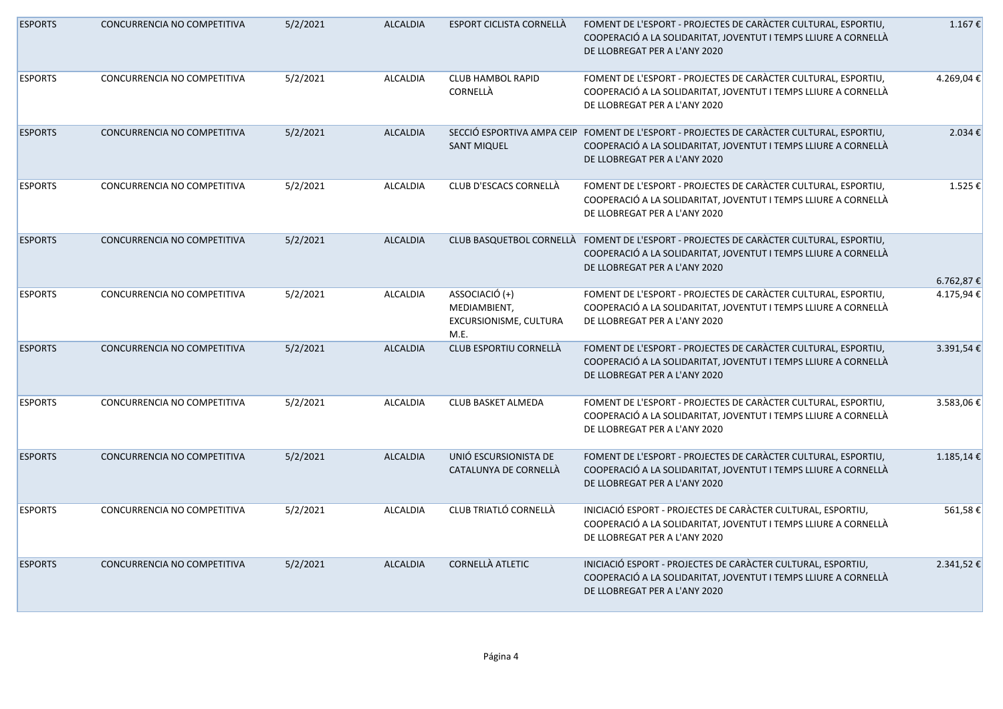| <b>ESPORTS</b> | CONCURRENCIA NO COMPETITIVA | 5/2/2021 | <b>ALCALDIA</b> | ESPORT CICLISTA CORNELLÀ                                         | FOMENT DE L'ESPORT - PROJECTES DE CARÀCTER CULTURAL, ESPORTIU,<br>COOPERACIÓ A LA SOLIDARITAT, JOVENTUT I TEMPS LLIURE A CORNELLÀ<br>DE LLOBREGAT PER A L'ANY 2020                            | 1.167€    |
|----------------|-----------------------------|----------|-----------------|------------------------------------------------------------------|-----------------------------------------------------------------------------------------------------------------------------------------------------------------------------------------------|-----------|
| <b>ESPORTS</b> | CONCURRENCIA NO COMPETITIVA | 5/2/2021 | ALCALDIA        | <b>CLUB HAMBOL RAPID</b><br>CORNELLÀ                             | FOMENT DE L'ESPORT - PROJECTES DE CARÀCTER CULTURAL, ESPORTIU,<br>COOPERACIÓ A LA SOLIDARITAT, JOVENTUT I TEMPS LLIURE A CORNELLÀ<br>DE LLOBREGAT PER A L'ANY 2020                            | 4.269,04€ |
| <b>ESPORTS</b> | CONCURRENCIA NO COMPETITIVA | 5/2/2021 | <b>ALCALDIA</b> | <b>SANT MIQUEL</b>                                               | SECCIÓ ESPORTIVA AMPA CEIP FOMENT DE L'ESPORT - PROJECTES DE CARÀCTER CULTURAL, ESPORTIU,<br>COOPERACIÓ A LA SOLIDARITAT, JOVENTUT I TEMPS LLIURE A CORNELLÀ<br>DE LLOBREGAT PER A L'ANY 2020 | 2.034€    |
| <b>ESPORTS</b> | CONCURRENCIA NO COMPETITIVA | 5/2/2021 | ALCALDIA        | CLUB D'ESCACS CORNELLÀ                                           | FOMENT DE L'ESPORT - PROJECTES DE CARÀCTER CULTURAL, ESPORTIU,<br>COOPERACIÓ A LA SOLIDARITAT, JOVENTUT I TEMPS LLIURE A CORNELLÀ<br>DE LLOBREGAT PER A L'ANY 2020                            | 1.525€    |
| <b>ESPORTS</b> | CONCURRENCIA NO COMPETITIVA | 5/2/2021 | <b>ALCALDIA</b> |                                                                  | CLUB BASQUETBOL CORNELLÀ FOMENT DE L'ESPORT - PROJECTES DE CARÀCTER CULTURAL, ESPORTIU,<br>COOPERACIÓ A LA SOLIDARITAT, JOVENTUT I TEMPS LLIURE A CORNELLÀ<br>DE LLOBREGAT PER A L'ANY 2020   | 6.762,87€ |
| <b>ESPORTS</b> | CONCURRENCIA NO COMPETITIVA | 5/2/2021 | <b>ALCALDIA</b> | ASSOCIACIÓ (+)<br>MEDIAMBIENT,<br>EXCURSIONISME, CULTURA<br>M.E. | FOMENT DE L'ESPORT - PROJECTES DE CARÀCTER CULTURAL, ESPORTIU,<br>COOPERACIÓ A LA SOLIDARITAT, JOVENTUT I TEMPS LLIURE A CORNELLÀ<br>DE LLOBREGAT PER A L'ANY 2020                            | 4.175,94€ |
| <b>ESPORTS</b> | CONCURRENCIA NO COMPETITIVA | 5/2/2021 | <b>ALCALDIA</b> | CLUB ESPORTIU CORNELLÀ                                           | FOMENT DE L'ESPORT - PROJECTES DE CARÀCTER CULTURAL, ESPORTIU,<br>COOPERACIÓ A LA SOLIDARITAT, JOVENTUT I TEMPS LLIURE A CORNELLÀ<br>DE LLOBREGAT PER A L'ANY 2020                            | 3.391,54€ |
| <b>ESPORTS</b> | CONCURRENCIA NO COMPETITIVA | 5/2/2021 | <b>ALCALDIA</b> | CLUB BASKET ALMEDA                                               | FOMENT DE L'ESPORT - PROJECTES DE CARÀCTER CULTURAL, ESPORTIU,<br>COOPERACIÓ A LA SOLIDARITAT, JOVENTUT I TEMPS LLIURE A CORNELLÀ<br>DE LLOBREGAT PER A L'ANY 2020                            | 3.583,06€ |
| <b>ESPORTS</b> | CONCURRENCIA NO COMPETITIVA | 5/2/2021 | <b>ALCALDIA</b> | UNIÓ ESCURSIONISTA DE<br>CATALUNYA DE CORNELLÀ                   | FOMENT DE L'ESPORT - PROJECTES DE CARÀCTER CULTURAL, ESPORTIU,<br>COOPERACIÓ A LA SOLIDARITAT, JOVENTUT I TEMPS LLIURE A CORNELLÀ<br>DE LLOBREGAT PER A L'ANY 2020                            | 1.185,14€ |
| <b>ESPORTS</b> | CONCURRENCIA NO COMPETITIVA | 5/2/2021 | <b>ALCALDIA</b> | CLUB TRIATLÓ CORNELLÀ                                            | INICIACIÓ ESPORT - PROJECTES DE CARÀCTER CULTURAL, ESPORTIU,<br>COOPERACIÓ A LA SOLIDARITAT, JOVENTUT I TEMPS LLIURE A CORNELLÀ<br>DE LLOBREGAT PER A L'ANY 2020                              | 561,58€   |
| <b>ESPORTS</b> | CONCURRENCIA NO COMPETITIVA | 5/2/2021 | <b>ALCALDIA</b> | CORNELLÀ ATLETIC                                                 | INICIACIÓ ESPORT - PROJECTES DE CARÀCTER CULTURAL, ESPORTIU,<br>COOPERACIÓ A LA SOLIDARITAT, JOVENTUT I TEMPS LLIURE A CORNELLÀ<br>DE LLOBREGAT PER A L'ANY 2020                              | 2.341,52€ |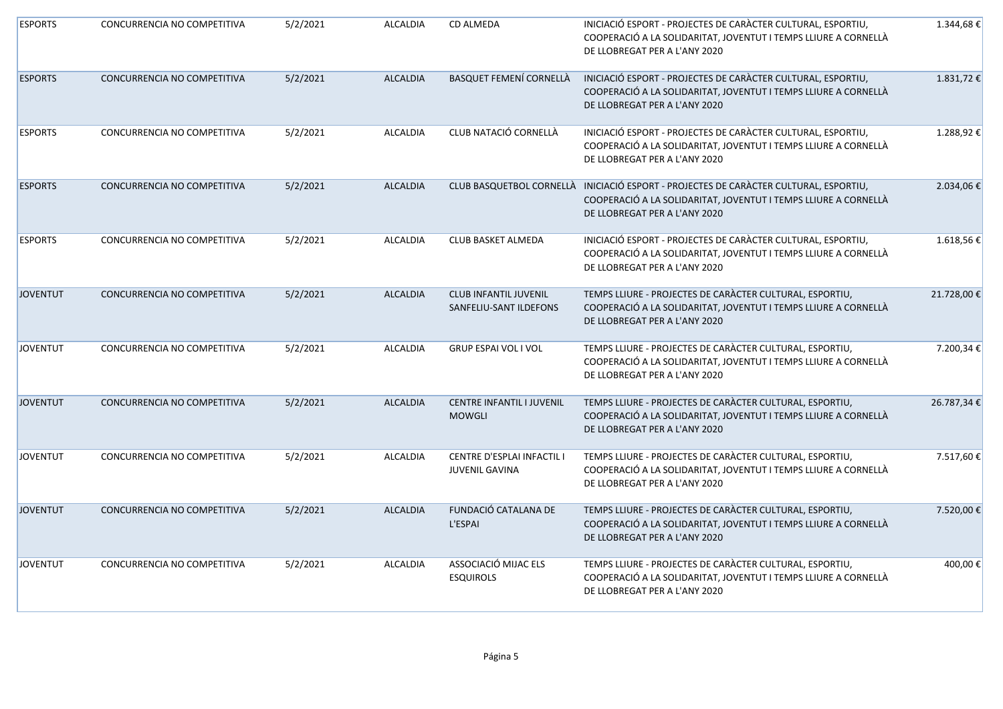| <b>ESPORTS</b>  | CONCURRENCIA NO COMPETITIVA | 5/2/2021 | ALCALDIA        | CD ALMEDA                                           | INICIACIÓ ESPORT - PROJECTES DE CARACTER CULTURAL, ESPORTIU,<br>COOPERACIÓ A LA SOLIDARITAT, JOVENTUT I TEMPS LLIURE A CORNELLÀ<br>DE LLOBREGAT PER A L'ANY 2020                          | 1.344,68€  |
|-----------------|-----------------------------|----------|-----------------|-----------------------------------------------------|-------------------------------------------------------------------------------------------------------------------------------------------------------------------------------------------|------------|
| <b>ESPORTS</b>  | CONCURRENCIA NO COMPETITIVA | 5/2/2021 | <b>ALCALDIA</b> | <b>BASQUET FEMENÍ CORNELLÀ</b>                      | INICIACIÓ ESPORT - PROJECTES DE CARÀCTER CULTURAL, ESPORTIU,<br>COOPERACIÓ A LA SOLIDARITAT, JOVENTUT I TEMPS LLIURE A CORNELLÀ<br>DE LLOBREGAT PER A L'ANY 2020                          | 1.831,72€  |
| <b>ESPORTS</b>  | CONCURRENCIA NO COMPETITIVA | 5/2/2021 | <b>ALCALDIA</b> | CLUB NATACIÓ CORNELLÀ                               | INICIACIÓ ESPORT - PROJECTES DE CARÀCTER CULTURAL, ESPORTIU,<br>COOPERACIÓ A LA SOLIDARITAT, JOVENTUT I TEMPS LLIURE A CORNELLÀ<br>DE LLOBREGAT PER A L'ANY 2020                          | 1.288,92€  |
| <b>ESPORTS</b>  | CONCURRENCIA NO COMPETITIVA | 5/2/2021 | <b>ALCALDIA</b> |                                                     | CLUB BASQUETBOL CORNELLÀ INICIACIÓ ESPORT - PROJECTES DE CARÀCTER CULTURAL, ESPORTIU,<br>COOPERACIÓ A LA SOLIDARITAT, JOVENTUT I TEMPS LLIURE A CORNELLÀ<br>DE LLOBREGAT PER A L'ANY 2020 | 2.034,06€  |
| <b>ESPORTS</b>  | CONCURRENCIA NO COMPETITIVA | 5/2/2021 | ALCALDIA        | CLUB BASKET ALMEDA                                  | INICIACIÓ ESPORT - PROJECTES DE CARÀCTER CULTURAL, ESPORTIU,<br>COOPERACIÓ A LA SOLIDARITAT, JOVENTUT I TEMPS LLIURE A CORNELLÀ<br>DE LLOBREGAT PER A L'ANY 2020                          | 1.618,56€  |
| <b>JOVENTUT</b> | CONCURRENCIA NO COMPETITIVA | 5/2/2021 | <b>ALCALDIA</b> | CLUB INFANTIL JUVENIL<br>SANFELIU-SANT ILDEFONS     | TEMPS LLIURE - PROJECTES DE CARÀCTER CULTURAL, ESPORTIU,<br>COOPERACIÓ A LA SOLIDARITAT, JOVENTUT I TEMPS LLIURE A CORNELLÀ<br>DE LLOBREGAT PER A L'ANY 2020                              | 21.728,00€ |
| <b>JOVENTUT</b> | CONCURRENCIA NO COMPETITIVA | 5/2/2021 | ALCALDIA        | GRUP ESPAI VOL I VOL                                | TEMPS LLIURE - PROJECTES DE CARÀCTER CULTURAL, ESPORTIU,<br>COOPERACIÓ A LA SOLIDARITAT, JOVENTUT I TEMPS LLIURE A CORNELLÀ<br>DE LLOBREGAT PER A L'ANY 2020                              | 7.200,34€  |
| <b>JOVENTUT</b> | CONCURRENCIA NO COMPETITIVA | 5/2/2021 | <b>ALCALDIA</b> | CENTRE INFANTIL I JUVENIL<br><b>MOWGLI</b>          | TEMPS LLIURE - PROJECTES DE CARACTER CULTURAL, ESPORTIU,<br>COOPERACIÓ A LA SOLIDARITAT, JOVENTUT I TEMPS LLIURE A CORNELLÀ<br>DE LLOBREGAT PER A L'ANY 2020                              | 26.787,34€ |
| <b>JOVENTUT</b> | CONCURRENCIA NO COMPETITIVA | 5/2/2021 | ALCALDIA        | CENTRE D'ESPLAI INFACTIL I<br><b>JUVENIL GAVINA</b> | TEMPS LLIURE - PROJECTES DE CARACTER CULTURAL, ESPORTIU,<br>COOPERACIÓ A LA SOLIDARITAT, JOVENTUT I TEMPS LLIURE A CORNELLÀ<br>DE LLOBREGAT PER A L'ANY 2020                              | 7.517,60€  |
| <b>JOVENTUT</b> | CONCURRENCIA NO COMPETITIVA | 5/2/2021 | <b>ALCALDIA</b> | FUNDACIÓ CATALANA DE<br>L'ESPAI                     | TEMPS LLIURE - PROJECTES DE CARÀCTER CULTURAL, ESPORTIU,<br>COOPERACIÓ A LA SOLIDARITAT, JOVENTUT I TEMPS LLIURE A CORNELLÀ<br>DE LLOBREGAT PER A L'ANY 2020                              | 7.520,00€  |
| <b>JOVENTUT</b> | CONCURRENCIA NO COMPETITIVA | 5/2/2021 | ALCALDIA        | ASSOCIACIÓ MIJAC ELS<br><b>ESQUIROLS</b>            | TEMPS LLIURE - PROJECTES DE CARÀCTER CULTURAL, ESPORTIU,<br>COOPERACIÓ A LA SOLIDARITAT, JOVENTUT I TEMPS LLIURE A CORNELLÀ<br>DE LLOBREGAT PER A L'ANY 2020                              | 400,00€    |